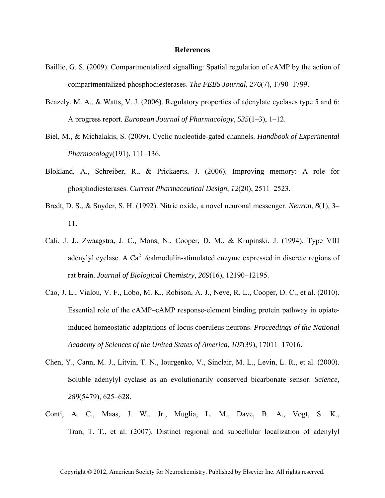## **References**

- Baillie, G. S. (2009). Compartmentalized signalling: Spatial regulation of cAMP by the action of compartmentalized phosphodiesterases. *The FEBS Journal*, *276*(7), 1790–1799.
- Beazely, M. A., & Watts, V. J. (2006). Regulatory properties of adenylate cyclases type 5 and 6: A progress report. *European Journal of Pharmacology*, *535*(1–3), 1–12.
- Biel, M., & Michalakis, S. (2009). Cyclic nucleotide-gated channels. *Handbook of Experimental Pharmacology*(191), 111–136.
- Blokland, A., Schreiber, R., & Prickaerts, J. (2006). Improving memory: A role for phosphodiesterases. *Current Pharmaceutical Design*, *12*(20), 2511–2523.
- Bredt, D. S., & Snyder, S. H. (1992). Nitric oxide, a novel neuronal messenger. *Neuron*, *8*(1), 3– 11.
- Cali, J. J., Zwaagstra, J. C., Mons, N., Cooper, D. M., & Krupinski, J. (1994). Type VIII adenylyl cyclase. A Ca<sup>2</sup> /calmodulin-stimulated enzyme expressed in discrete regions of rat brain. *Journal of Biological Chemistry*, *269*(16), 12190–12195.
- Cao, J. L., Vialou, V. F., Lobo, M. K., Robison, A. J., Neve, R. L., Cooper, D. C., et al. (2010). Essential role of the cAMP–cAMP response-element binding protein pathway in opiateinduced homeostatic adaptations of locus coeruleus neurons. *Proceedings of the National Academy of Sciences of the United States of America*, *107*(39), 17011–17016.
- Chen, Y., Cann, M. J., Litvin, T. N., Iourgenko, V., Sinclair, M. L., Levin, L. R., et al. (2000). Soluble adenylyl cyclase as an evolutionarily conserved bicarbonate sensor. *Science*, *289*(5479), 625–628.
- Conti, A. C., Maas, J. W., Jr., Muglia, L. M., Dave, B. A., Vogt, S. K., Tran, T. T., et al. (2007). Distinct regional and subcellular localization of adenylyl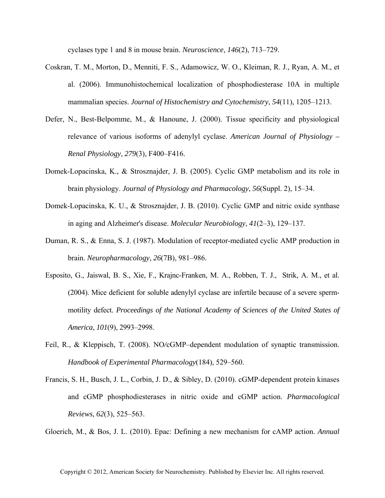cyclases type 1 and 8 in mouse brain. *Neuroscience*, *146*(2), 713–729.

- Coskran, T. M., Morton, D., Menniti, F. S., Adamowicz, W. O., Kleiman, R. J., Ryan, A. M., et al. (2006). Immunohistochemical localization of phosphodiesterase 10A in multiple mammalian species. *Journal of Histochemistry and Cytochemistry*, *54*(11), 1205–1213.
- Defer, N., Best-Belpomme, M., & Hanoune, J. (2000). Tissue specificity and physiological relevance of various isoforms of adenylyl cyclase. *American Journal of Physiology – Renal Physiology*, *279*(3), F400–F416.
- Domek-Lopacinska, K., & Strosznajder, J. B. (2005). Cyclic GMP metabolism and its role in brain physiology. *Journal of Physiology and Pharmacology*, *56*(Suppl. 2), 15–34.
- Domek-Lopacinska, K. U., & Strosznajder, J. B. (2010). Cyclic GMP and nitric oxide synthase in aging and Alzheimer's disease. *Molecular Neurobiology*, *41*(2–3), 129–137.
- Duman, R. S., & Enna, S. J. (1987). Modulation of receptor-mediated cyclic AMP production in brain. *Neuropharmacology*, *26*(7B), 981–986.
- Esposito, G., Jaiswal, B. S., Xie, F., Krajnc-Franken, M. A., Robben, T. J., Strik, A. M., et al. (2004). Mice deficient for soluble adenylyl cyclase are infertile because of a severe spermmotility defect. *Proceedings of the National Academy of Sciences of the United States of America*, *101*(9), 2993–2998.
- Feil, R., & Kleppisch, T. (2008). NO*/*cGMP–dependent modulation of synaptic transmission. *Handbook of Experimental Pharmacology*(184), 529–560.
- Francis, S. H., Busch, J. L., Corbin, J. D., & Sibley, D. (2010). cGMP-dependent protein kinases and cGMP phosphodiesterases in nitric oxide and cGMP action. *Pharmacological Reviews*, *62*(3), 525–563.

Gloerich, M., & Bos, J. L. (2010). Epac: Defining a new mechanism for cAMP action. *Annual*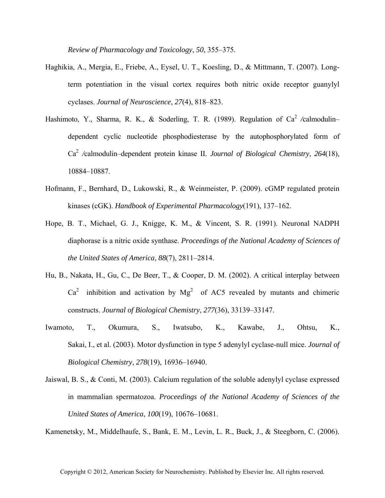*Review of Pharmacology and Toxicology*, *50*, 355–375.

- Haghikia, A., Mergia, E., Friebe, A., Eysel, U. T., Koesling, D., & Mittmann, T. (2007). Longterm potentiation in the visual cortex requires both nitric oxide receptor guanylyl cyclases. *Journal of Neuroscience*, *27*(4), 818–823.
- Hashimoto, Y., Sharma, R. K., & Soderling, T. R. (1989). Regulation of  $Ca^2$  /calmodulin– dependent cyclic nucleotide phosphodiesterase by the autophosphorylated form of Ca2*/*calmodulin–dependent protein kinase II. *Journal of Biological Chemistry*, *264*(18), 10884–10887.
- Hofmann, F., Bernhard, D., Lukowski, R., & Weinmeister, P. (2009). cGMP regulated protein kinases (cGK). *Handbook of Experimental Pharmacology*(191), 137–162.
- Hope, B. T., Michael, G. J., Knigge, K. M., & Vincent, S. R. (1991). Neuronal NADPH diaphorase is a nitric oxide synthase. *Proceedings of the National Academy of Sciences of the United States of America*, *88*(7), 2811–2814.
- Hu, B., Nakata, H., Gu, C., De Beer, T., & Cooper, D. M. (2002). A critical interplay between  $Ca<sup>2</sup>$  inhibition and activation by  $Mg<sup>2</sup>$  of AC5 revealed by mutants and chimeric constructs. *Journal of Biological Chemistry*, *277*(36), 33139–33147.
- Iwamoto, T., Okumura, S., Iwatsubo, K., Kawabe, J., Ohtsu, K., Sakai, I., et al. (2003). Motor dysfunction in type 5 adenylyl cyclase-null mice. *Journal of Biological Chemistry*, *278*(19), 16936–16940.
- Jaiswal, B. S., & Conti, M. (2003). Calcium regulation of the soluble adenylyl cyclase expressed in mammalian spermatozoa. *Proceedings of the National Academy of Sciences of the United States of America*, *100*(19), 10676–10681.

Kamenetsky, M., Middelhaufe, S., Bank, E. M., Levin, L. R., Buck, J., & Steegborn, C. (2006).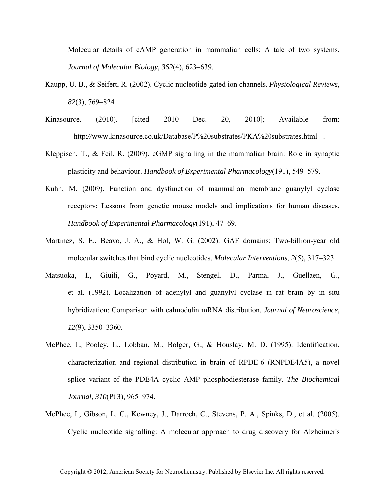Molecular details of cAMP generation in mammalian cells: A tale of two systems. *Journal of Molecular Biology*, *362*(4), 623–639.

- Kaupp, U. B., & Seifert, R. (2002). Cyclic nucleotide-gated ion channels. *Physiological Reviews*, *82*(3), 769–824.
- Kinasource. (2010). [cited 2010 Dec. 20, 2010]; Available from: http://www.kinasource.co.uk/Database/P%20substrates/PKA%20substrates.html.
- Kleppisch, T., & Feil, R. (2009). cGMP signalling in the mammalian brain: Role in synaptic plasticity and behaviour. *Handbook of Experimental Pharmacology*(191), 549–579.
- Kuhn, M. (2009). Function and dysfunction of mammalian membrane guanylyl cyclase receptors: Lessons from genetic mouse models and implications for human diseases. *Handbook of Experimental Pharmacology*(191), 47–69.
- Martinez, S. E., Beavo, J. A., & Hol, W. G. (2002). GAF domains: Two-billion-year–old molecular switches that bind cyclic nucleotides. *Molecular Interventions*, *2*(5), 317–323.
- Matsuoka, I., Giuili, G., Poyard, M., Stengel, D., Parma, J., Guellaen, G., et al. (1992). Localization of adenylyl and guanylyl cyclase in rat brain by in situ hybridization: Comparison with calmodulin mRNA distribution. *Journal of Neuroscience*, *12*(9), 3350–3360.
- McPhee, I., Pooley, L., Lobban, M., Bolger, G., & Houslay, M. D. (1995). Identification, characterization and regional distribution in brain of RPDE-6 (RNPDE4A5), a novel splice variant of the PDE4A cyclic AMP phosphodiesterase family. *The Biochemical Journal*, *310*(Pt 3), 965–974.
- McPhee, I., Gibson, L. C., Kewney, J., Darroch, C., Stevens, P. A., Spinks, D., et al. (2005). Cyclic nucleotide signalling: A molecular approach to drug discovery for Alzheimer's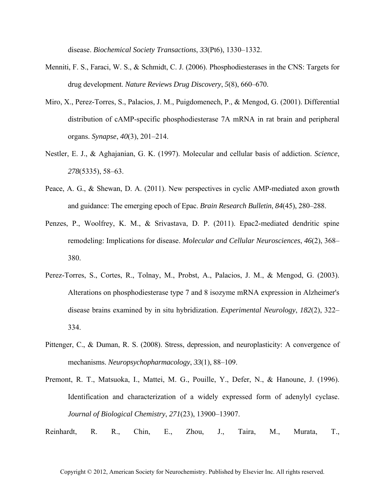disease. *Biochemical Society Transactions*, *33*(Pt6), 1330–1332.

- Menniti, F. S., Faraci, W. S., & Schmidt, C. J. (2006). Phosphodiesterases in the CNS: Targets for drug development. *Nature Reviews Drug Discovery*, *5*(8), 660–670.
- Miro, X., Perez-Torres, S., Palacios, J. M., Puigdomenech, P., & Mengod, G. (2001). Differential distribution of cAMP-specific phosphodiesterase 7A mRNA in rat brain and peripheral organs. *Synapse*, *40*(3), 201–214.
- Nestler, E. J., & Aghajanian, G. K. (1997). Molecular and cellular basis of addiction. *Science*, *278*(5335), 58–63.
- Peace, A. G., & Shewan, D. A. (2011). New perspectives in cyclic AMP-mediated axon growth and guidance: The emerging epoch of Epac. *Brain Research Bulletin*, *84*(45), 280–288.
- Penzes, P., Woolfrey, K. M., & Srivastava, D. P. (2011). Epac2-mediated dendritic spine remodeling: Implications for disease. *Molecular and Cellular Neurosciences*, *46*(2), 368– 380.
- Perez-Torres, S., Cortes, R., Tolnay, M., Probst, A., Palacios, J. M., & Mengod, G. (2003). Alterations on phosphodiesterase type 7 and 8 isozyme mRNA expression in Alzheimer's disease brains examined by in situ hybridization. *Experimental Neurology*, *182*(2), 322– 334.
- Pittenger, C., & Duman, R. S. (2008). Stress, depression, and neuroplasticity: A convergence of mechanisms. *Neuropsychopharmacology*, *33*(1), 88–109.
- Premont, R. T., Matsuoka, I., Mattei, M. G., Pouille, Y., Defer, N., & Hanoune, J. (1996). Identification and characterization of a widely expressed form of adenylyl cyclase. *Journal of Biological Chemistry*, *271*(23), 13900–13907.
- Reinhardt, R. R., Chin, E., Zhou, J., Taira, M., Murata, T.,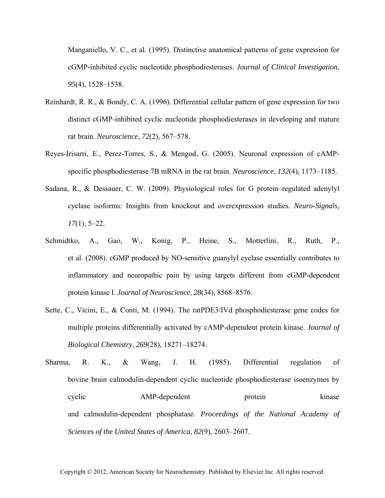Manganiello, V. C., et al. (1995). Distinctive anatomical patterns of gene expression for cGMP-inhibited cyclic nucleotide phosphodiesterases. *Journal of Clinical Investigation*, *95*(4), 1528–1538.

- Reinhardt, R. R., & Bondy, C. A. (1996). Differential cellular pattern of gene expression for two distinct cGMP-inhibited cyclic nucleotide phosphodiesterases in developing and mature rat brain. *Neuroscience*, *72*(2), 567–578.
- Reyes-Irisarri, E., Perez-Torres, S., & Mengod, G. (2005). Neuronal expression of cAMPspecific phosphodiesterase 7B mRNA in the rat brain. *Neuroscience*, *132*(4), 1173–1185.
- Sadana, R., & Dessauer, C. W. (2009). Physiological roles for G protein–regulated adenylyl cyclase isoforms: Insights from knockout and overexpression studies. *Neuro-Signals*, *17*(1), 5–22.
- Schmidtko, A., Gao, W., Konig, P., Heine, S., Motterlini, R., Ruth, P., et al. (2008). cGMP produced by NO-sensitive guanylyl cyclase essentially contributes to inflammatory and neuropathic pain by using targets different from cGMP-dependent protein kinase I. *Journal of Neuroscience*, *28*(34), 8568–8576.
- Sette, C., Vicini, E., & Conti, M. (1994). The ratPDE3/IVd phosphodiesterase gene codes for multiple proteins differentially activated by cAMP-dependent protein kinase. *Journal of Biological Chemistry*, *269*(28), 18271–18274.
- Sharma, R. K., & Wang, J. H. (1985). Differential regulation of bovine brain calmodulin-dependent cyclic nucleotide phosphodiesterase isoenzymes by cyclic AMP-dependent protein kinase and calmodulin-dependent phosphatase. *Proceedings of the National Academy of Sciences of the United States of America*, *82*(9), 2603–2607.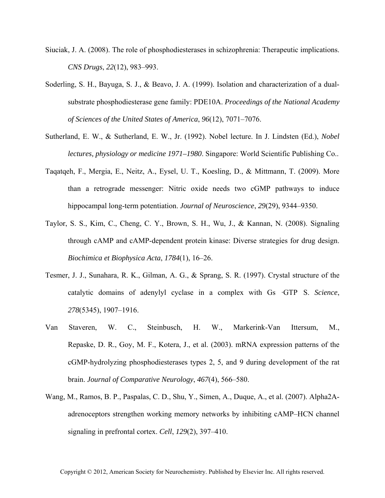- Siuciak, J. A. (2008). The role of phosphodiesterases in schizophrenia: Therapeutic implications. *CNS Drugs*, *22*(12), 983–993.
- Soderling, S. H., Bayuga, S. J., & Beavo, J. A. (1999). Isolation and characterization of a dualsubstrate phosphodiesterase gene family: PDE10A. *Proceedings of the National Academy of Sciences of the United States of America*, *96*(12), 7071–7076.
- Sutherland, E. W., & Sutherland, E. W., Jr. (1992). Nobel lecture. In J. Lindsten (Ed.), *Nobel lectures, physiology or medicine 1971–1980*. Singapore: World Scientific Publishing Co..
- Taqatqeh, F., Mergia, E., Neitz, A., Eysel, U. T., Koesling, D., & Mittmann, T. (2009). More than a retrograde messenger: Nitric oxide needs two cGMP pathways to induce hippocampal long-term potentiation. *Journal of Neuroscience*, *29*(29), 9344–9350.
- Taylor, S. S., Kim, C., Cheng, C. Y., Brown, S. H., Wu, J., & Kannan, N. (2008). Signaling through cAMP and cAMP-dependent protein kinase: Diverse strategies for drug design. *Biochimica et Biophysica Acta*, *1784*(1), 16–26.
- Tesmer, J. J., Sunahara, R. K., Gilman, A. G., & Sprang, S. R. (1997). Crystal structure of the catalytic domains of adenylyl cyclase in a complex with Gs·GTPS. *Science*, *278*(5345), 1907–1916.
- Van Staveren, W. C., Steinbusch, H. W., Markerink-Van Ittersum, M., Repaske, D. R., Goy, M. F., Kotera, J., et al. (2003). mRNA expression patterns of the cGMP-hydrolyzing phosphodiesterases types 2, 5, and 9 during development of the rat brain. *Journal of Comparative Neurology*, *467*(4), 566–580.
- Wang, M., Ramos, B. P., Paspalas, C. D., Shu, Y., Simen, A., Duque, A., et al. (2007). Alpha2Aadrenoceptors strengthen working memory networks by inhibiting cAMP–HCN channel signaling in prefrontal cortex. *Cell*, *129*(2), 397–410.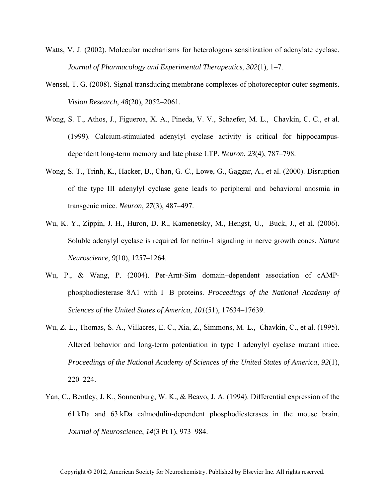- Watts, V. J. (2002). Molecular mechanisms for heterologous sensitization of adenylate cyclase. *Journal of Pharmacology and Experimental Therapeutics*, *302*(1), 1–7.
- Wensel, T. G. (2008). Signal transducing membrane complexes of photoreceptor outer segments. *Vision Research*, *48*(20), 2052–2061.
- Wong, S. T., Athos, J., Figueroa, X. A., Pineda, V. V., Schaefer, M. L., Chavkin, C. C., et al. (1999). Calcium-stimulated adenylyl cyclase activity is critical for hippocampusdependent long-term memory and late phase LTP. *Neuron*, *23*(4), 787–798.
- Wong, S. T., Trinh, K., Hacker, B., Chan, G. C., Lowe, G., Gaggar, A., et al. (2000). Disruption of the type III adenylyl cyclase gene leads to peripheral and behavioral anosmia in transgenic mice. *Neuron*, *27*(3), 487–497.
- Wu, K. Y., Zippin, J. H., Huron, D. R., Kamenetsky, M., Hengst, U., Buck, J., et al. (2006). Soluble adenylyl cyclase is required for netrin-1 signaling in nerve growth cones. *Nature Neuroscience*, *9*(10), 1257–1264.
- Wu, P., & Wang, P. (2004). Per-Arnt-Sim domain–dependent association of cAMPphosphodiesterase 8A1 with I B proteins. *Proceedings of the National Academy of Sciences of the United States of America*, *101*(51), 17634–17639.
- Wu, Z. L., Thomas, S. A., Villacres, E. C., Xia, Z., Simmons, M. L., Chavkin, C., et al. (1995). Altered behavior and long-term potentiation in type I adenylyl cyclase mutant mice. *Proceedings of the National Academy of Sciences of the United States of America*, *92*(1), 220–224.
- Yan, C., Bentley, J. K., Sonnenburg, W. K., & Beavo, J. A. (1994). Differential expression of the 61 kDa and 63 kDa calmodulin-dependent phosphodiesterases in the mouse brain. *Journal of Neuroscience*, *14*(3 Pt 1), 973–984.